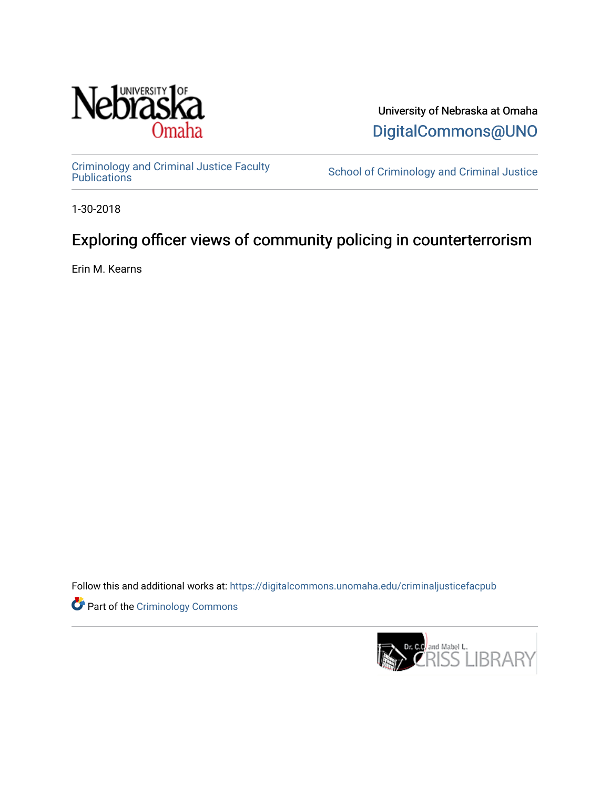

University of Nebraska at Omaha [DigitalCommons@UNO](https://digitalcommons.unomaha.edu/) 

[Criminology and Criminal Justice Faculty](https://digitalcommons.unomaha.edu/criminaljusticefacpub)

School of Criminology and Criminal Justice

1-30-2018

# Exploring officer views of community policing in counterterrorism

Erin M. Kearns

Follow this and additional works at: [https://digitalcommons.unomaha.edu/criminaljusticefacpub](https://digitalcommons.unomaha.edu/criminaljusticefacpub?utm_source=digitalcommons.unomaha.edu%2Fcriminaljusticefacpub%2F124&utm_medium=PDF&utm_campaign=PDFCoverPages) 

Part of the [Criminology Commons](https://network.bepress.com/hgg/discipline/417?utm_source=digitalcommons.unomaha.edu%2Fcriminaljusticefacpub%2F124&utm_medium=PDF&utm_campaign=PDFCoverPages) 

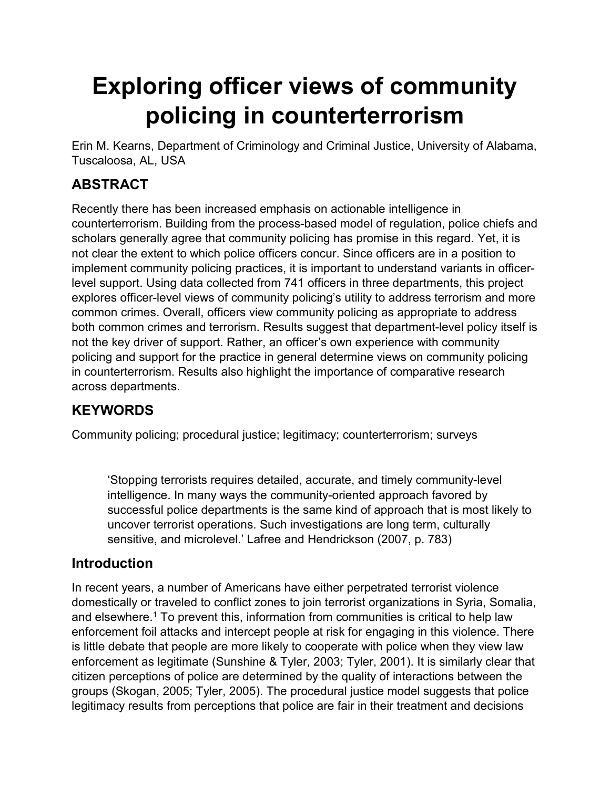# **Exploring officer views of community policing in counterterrorism**

Erin M. Kearns, Department of Criminology and Criminal Justice, University of Alabama, Tuscaloosa, AL, USA

# **ABSTRACT**

Recently there has been increased emphasis on actionable intelligence in counterterrorism. Building from the process-based model of regulation, police chiefs and scholars generally agree that community policing has promise in this regard. Yet, it is not clear the extent to which police officers concur. Since officers are in a position to implement community policing practices, it is important to understand variants in officerlevel support. Using data collected from 741 officers in three departments, this project explores officer-level views of community policing's utility to address terrorism and more common crimes. Overall, officers view community policing as appropriate to address both common crimes and terrorism. Results suggest that department-level policy itself is not the key driver of support. Rather, an officer's own experience with community policing and support for the practice in general determine views on community policing in counterterrorism. Results also highlight the importance of comparative research across departments.

# **KEYWORDS**

Community policing; procedural justice; legitimacy; counterterrorism; surveys

'Stopping terrorists requires detailed, accurate, and timely community-level intelligence. In many ways the community-oriented approach favored by successful police departments is the same kind of approach that is most likely to uncover terrorist operations. Such investigations are long term, culturally sensitive, and microlevel.' Lafree and Hendrickson (2007, p. 783)

# **Introduction**

In recent years, a number of Americans have either perpetrated terrorist violence domestically or traveled to conflict zones to join terrorist organizations in Syria, Somalia, and elsewhere.<sup>1</sup> To prevent this, information from communities is critical to help law enforcement foil attacks and intercept people at risk for engaging in this violence. There is little debate that people are more likely to cooperate with police when they view law enforcement as legitimate (Sunshine & Tyler, 2003; Tyler, 2001). It is similarly clear that citizen perceptions of police are determined by the quality of interactions between the groups (Skogan, 2005; Tyler, 2005). The procedural justice model suggests that police legitimacy results from perceptions that police are fair in their treatment and decisions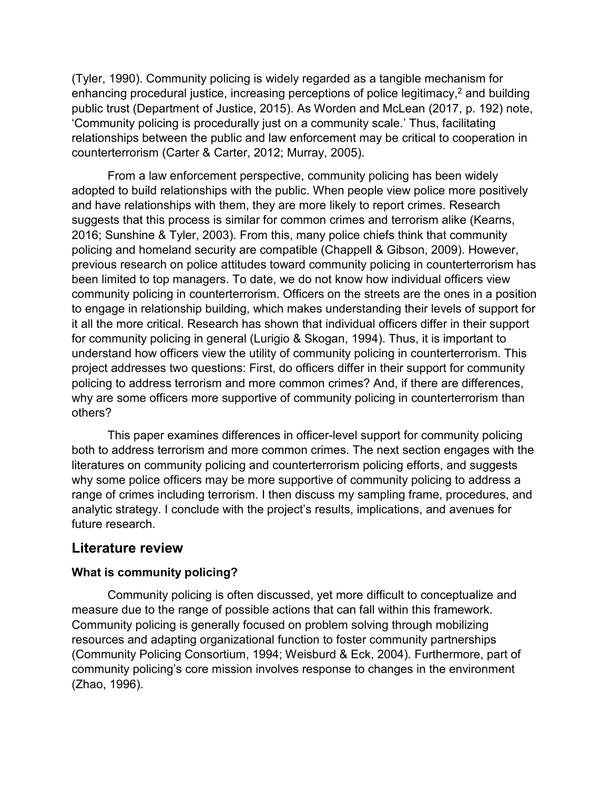(Tyler, 1990). Community policing is widely regarded as a tangible mechanism for enhancing procedural justice, increasing perceptions of police legitimacy, $2$  and building public trust (Department of Justice, 2015). As Worden and McLean (2017, p. 192) note, 'Community policing is procedurally just on a community scale.' Thus, facilitating relationships between the public and law enforcement may be critical to cooperation in counterterrorism (Carter & Carter, 2012; Murray, 2005).

From a law enforcement perspective, community policing has been widely adopted to build relationships with the public. When people view police more positively and have relationships with them, they are more likely to report crimes. Research suggests that this process is similar for common crimes and terrorism alike (Kearns, 2016; Sunshine & Tyler, 2003). From this, many police chiefs think that community policing and homeland security are compatible (Chappell & Gibson, 2009). However, previous research on police attitudes toward community policing in counterterrorism has been limited to top managers. To date, we do not know how individual officers view community policing in counterterrorism. Officers on the streets are the ones in a position to engage in relationship building, which makes understanding their levels of support for it all the more critical. Research has shown that individual officers differ in their support for community policing in general (Lurigio & Skogan, 1994). Thus, it is important to understand how officers view the utility of community policing in counterterrorism. This project addresses two questions: First, do officers differ in their support for community policing to address terrorism and more common crimes? And, if there are differences, why are some officers more supportive of community policing in counterterrorism than others?

This paper examines differences in officer-level support for community policing both to address terrorism and more common crimes. The next section engages with the literatures on community policing and counterterrorism policing efforts, and suggests why some police officers may be more supportive of community policing to address a range of crimes including terrorism. I then discuss my sampling frame, procedures, and analytic strategy. I conclude with the project's results, implications, and avenues for future research.

## **Literature review**

#### **What is community policing?**

Community policing is often discussed, yet more difficult to conceptualize and measure due to the range of possible actions that can fall within this framework. Community policing is generally focused on problem solving through mobilizing resources and adapting organizational function to foster community partnerships (Community Policing Consortium, 1994; Weisburd & Eck, 2004). Furthermore, part of community policing's core mission involves response to changes in the environment (Zhao, 1996).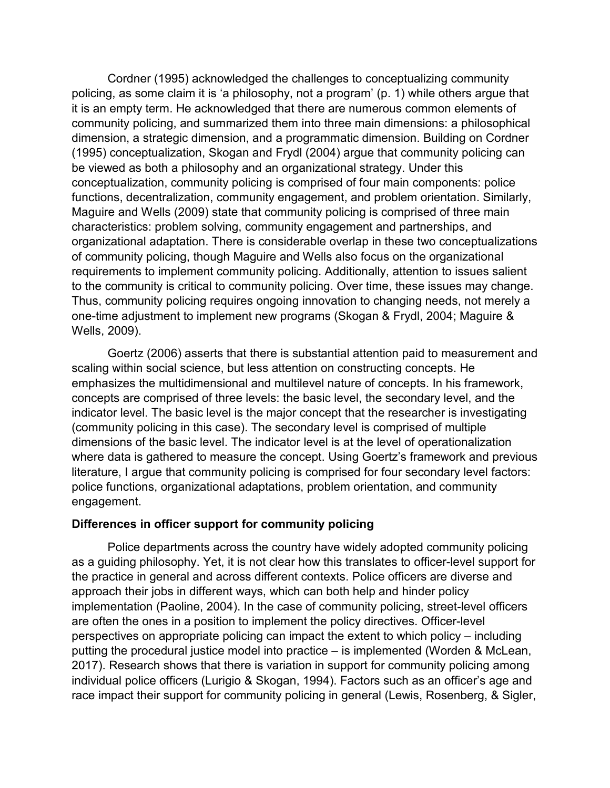Cordner (1995) acknowledged the challenges to conceptualizing community policing, as some claim it is 'a philosophy, not a program' (p. 1) while others argue that it is an empty term. He acknowledged that there are numerous common elements of community policing, and summarized them into three main dimensions: a philosophical dimension, a strategic dimension, and a programmatic dimension. Building on Cordner (1995) conceptualization, Skogan and Frydl (2004) argue that community policing can be viewed as both a philosophy and an organizational strategy. Under this conceptualization, community policing is comprised of four main components: police functions, decentralization, community engagement, and problem orientation. Similarly, Maguire and Wells (2009) state that community policing is comprised of three main characteristics: problem solving, community engagement and partnerships, and organizational adaptation. There is considerable overlap in these two conceptualizations of community policing, though Maguire and Wells also focus on the organizational requirements to implement community policing. Additionally, attention to issues salient to the community is critical to community policing. Over time, these issues may change. Thus, community policing requires ongoing innovation to changing needs, not merely a one-time adjustment to implement new programs (Skogan & Frydl, 2004; Maguire & Wells, 2009).

Goertz (2006) asserts that there is substantial attention paid to measurement and scaling within social science, but less attention on constructing concepts. He emphasizes the multidimensional and multilevel nature of concepts. In his framework, concepts are comprised of three levels: the basic level, the secondary level, and the indicator level. The basic level is the major concept that the researcher is investigating (community policing in this case). The secondary level is comprised of multiple dimensions of the basic level. The indicator level is at the level of operationalization where data is gathered to measure the concept. Using Goertz's framework and previous literature, I argue that community policing is comprised for four secondary level factors: police functions, organizational adaptations, problem orientation, and community engagement.

#### **Differences in officer support for community policing**

Police departments across the country have widely adopted community policing as a guiding philosophy. Yet, it is not clear how this translates to officer-level support for the practice in general and across different contexts. Police officers are diverse and approach their jobs in different ways, which can both help and hinder policy implementation (Paoline, 2004). In the case of community policing, street-level officers are often the ones in a position to implement the policy directives. Officer-level perspectives on appropriate policing can impact the extent to which policy – including putting the procedural justice model into practice – is implemented (Worden & McLean, 2017). Research shows that there is variation in support for community policing among individual police officers (Lurigio & Skogan, 1994). Factors such as an officer's age and race impact their support for community policing in general (Lewis, Rosenberg, & Sigler,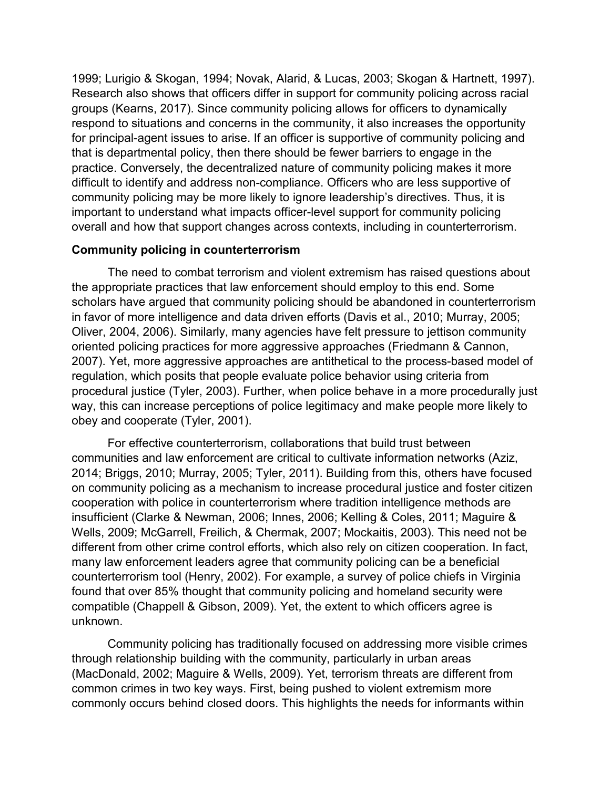1999; Lurigio & Skogan, 1994; Novak, Alarid, & Lucas, 2003; Skogan & Hartnett, 1997). Research also shows that officers differ in support for community policing across racial groups (Kearns, 2017). Since community policing allows for officers to dynamically respond to situations and concerns in the community, it also increases the opportunity for principal-agent issues to arise. If an officer is supportive of community policing and that is departmental policy, then there should be fewer barriers to engage in the practice. Conversely, the decentralized nature of community policing makes it more difficult to identify and address non-compliance. Officers who are less supportive of community policing may be more likely to ignore leadership's directives. Thus, it is important to understand what impacts officer-level support for community policing overall and how that support changes across contexts, including in counterterrorism.

#### **Community policing in counterterrorism**

The need to combat terrorism and violent extremism has raised questions about the appropriate practices that law enforcement should employ to this end. Some scholars have argued that community policing should be abandoned in counterterrorism in favor of more intelligence and data driven efforts (Davis et al., 2010; Murray, 2005; Oliver, 2004, 2006). Similarly, many agencies have felt pressure to jettison community oriented policing practices for more aggressive approaches (Friedmann & Cannon, 2007). Yet, more aggressive approaches are antithetical to the process-based model of regulation, which posits that people evaluate police behavior using criteria from procedural justice (Tyler, 2003). Further, when police behave in a more procedurally just way, this can increase perceptions of police legitimacy and make people more likely to obey and cooperate (Tyler, 2001).

For effective counterterrorism, collaborations that build trust between communities and law enforcement are critical to cultivate information networks (Aziz, 2014; Briggs, 2010; Murray, 2005; Tyler, 2011). Building from this, others have focused on community policing as a mechanism to increase procedural justice and foster citizen cooperation with police in counterterrorism where tradition intelligence methods are insufficient (Clarke & Newman, 2006; Innes, 2006; Kelling & Coles, 2011; Maguire & Wells, 2009; McGarrell, Freilich, & Chermak, 2007; Mockaitis, 2003). This need not be different from other crime control efforts, which also rely on citizen cooperation. In fact, many law enforcement leaders agree that community policing can be a beneficial counterterrorism tool (Henry, 2002). For example, a survey of police chiefs in Virginia found that over 85% thought that community policing and homeland security were compatible (Chappell & Gibson, 2009). Yet, the extent to which officers agree is unknown.

Community policing has traditionally focused on addressing more visible crimes through relationship building with the community, particularly in urban areas (MacDonald, 2002; Maguire & Wells, 2009). Yet, terrorism threats are different from common crimes in two key ways. First, being pushed to violent extremism more commonly occurs behind closed doors. This highlights the needs for informants within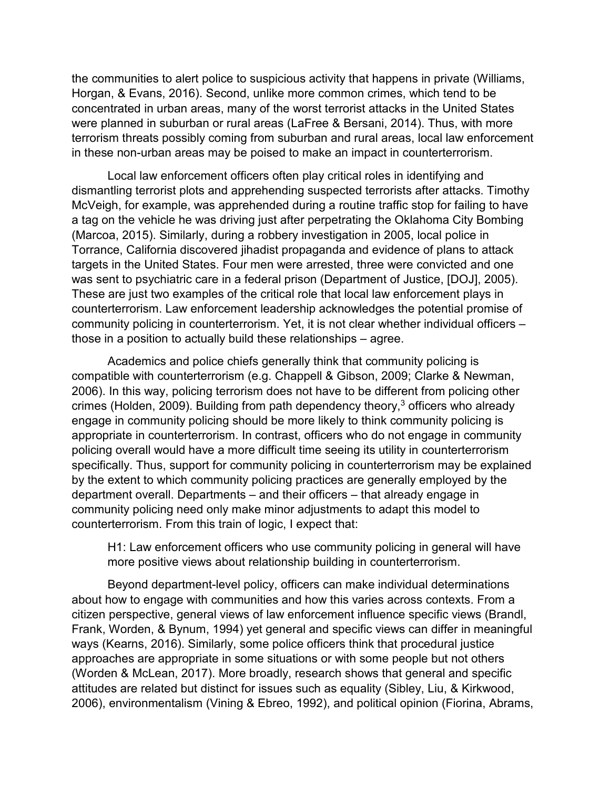the communities to alert police to suspicious activity that happens in private (Williams, Horgan, & Evans, 2016). Second, unlike more common crimes, which tend to be concentrated in urban areas, many of the worst terrorist attacks in the United States were planned in suburban or rural areas (LaFree & Bersani, 2014). Thus, with more terrorism threats possibly coming from suburban and rural areas, local law enforcement in these non-urban areas may be poised to make an impact in counterterrorism.

Local law enforcement officers often play critical roles in identifying and dismantling terrorist plots and apprehending suspected terrorists after attacks. Timothy McVeigh, for example, was apprehended during a routine traffic stop for failing to have a tag on the vehicle he was driving just after perpetrating the Oklahoma City Bombing (Marcoa, 2015). Similarly, during a robbery investigation in 2005, local police in Torrance, California discovered jihadist propaganda and evidence of plans to attack targets in the United States. Four men were arrested, three were convicted and one was sent to psychiatric care in a federal prison (Department of Justice, [DOJ], 2005). These are just two examples of the critical role that local law enforcement plays in counterterrorism. Law enforcement leadership acknowledges the potential promise of community policing in counterterrorism. Yet, it is not clear whether individual officers – those in a position to actually build these relationships – agree.

Academics and police chiefs generally think that community policing is compatible with counterterrorism (e.g. Chappell & Gibson, 2009; Clarke & Newman, 2006). In this way, policing terrorism does not have to be different from policing other crimes (Holden, 2009). Building from path dependency theory, $3$  officers who already engage in community policing should be more likely to think community policing is appropriate in counterterrorism. In contrast, officers who do not engage in community policing overall would have a more difficult time seeing its utility in counterterrorism specifically. Thus, support for community policing in counterterrorism may be explained by the extent to which community policing practices are generally employed by the department overall. Departments – and their officers – that already engage in community policing need only make minor adjustments to adapt this model to counterterrorism. From this train of logic, I expect that:

H1: Law enforcement officers who use community policing in general will have more positive views about relationship building in counterterrorism.

Beyond department-level policy, officers can make individual determinations about how to engage with communities and how this varies across contexts. From a citizen perspective, general views of law enforcement influence specific views (Brandl, Frank, Worden, & Bynum, 1994) yet general and specific views can differ in meaningful ways (Kearns, 2016). Similarly, some police officers think that procedural justice approaches are appropriate in some situations or with some people but not others (Worden & McLean, 2017). More broadly, research shows that general and specific attitudes are related but distinct for issues such as equality (Sibley, Liu, & Kirkwood, 2006), environmentalism (Vining & Ebreo, 1992), and political opinion (Fiorina, Abrams,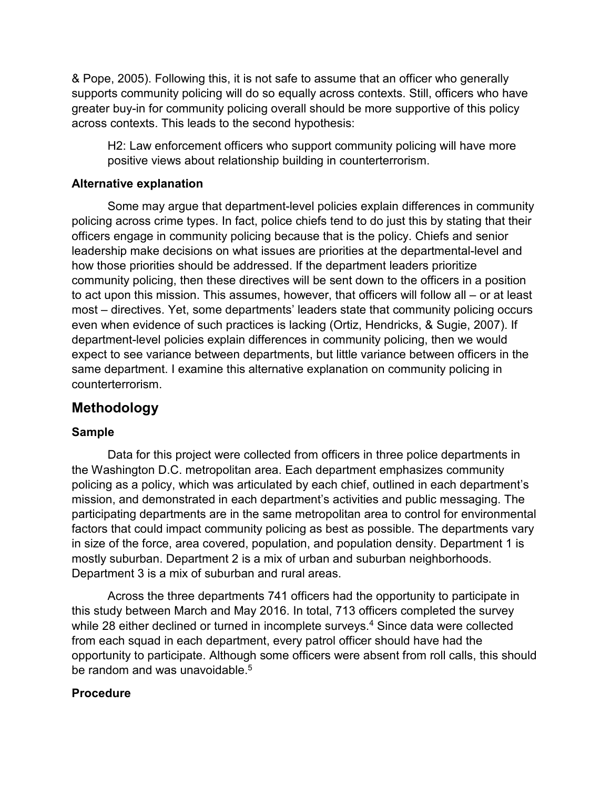& Pope, 2005). Following this, it is not safe to assume that an officer who generally supports community policing will do so equally across contexts. Still, officers who have greater buy-in for community policing overall should be more supportive of this policy across contexts. This leads to the second hypothesis:

H2: Law enforcement officers who support community policing will have more positive views about relationship building in counterterrorism.

#### **Alternative explanation**

Some may argue that department-level policies explain differences in community policing across crime types. In fact, police chiefs tend to do just this by stating that their officers engage in community policing because that is the policy. Chiefs and senior leadership make decisions on what issues are priorities at the departmental-level and how those priorities should be addressed. If the department leaders prioritize community policing, then these directives will be sent down to the officers in a position to act upon this mission. This assumes, however, that officers will follow all – or at least most – directives. Yet, some departments' leaders state that community policing occurs even when evidence of such practices is lacking (Ortiz, Hendricks, & Sugie, 2007). If department-level policies explain differences in community policing, then we would expect to see variance between departments, but little variance between officers in the same department. I examine this alternative explanation on community policing in counterterrorism.

## **Methodology**

### **Sample**

Data for this project were collected from officers in three police departments in the Washington D.C. metropolitan area. Each department emphasizes community policing as a policy, which was articulated by each chief, outlined in each department's mission, and demonstrated in each department's activities and public messaging. The participating departments are in the same metropolitan area to control for environmental factors that could impact community policing as best as possible. The departments vary in size of the force, area covered, population, and population density. Department 1 is mostly suburban. Department 2 is a mix of urban and suburban neighborhoods. Department 3 is a mix of suburban and rural areas.

Across the three departments 741 officers had the opportunity to participate in this study between March and May 2016. In total, 713 officers completed the survey while 28 either declined or turned in incomplete surveys.<sup>4</sup> Since data were collected from each squad in each department, every patrol officer should have had the opportunity to participate. Although some officers were absent from roll calls, this should be random and was unavoidable.<sup>5</sup>

#### **Procedure**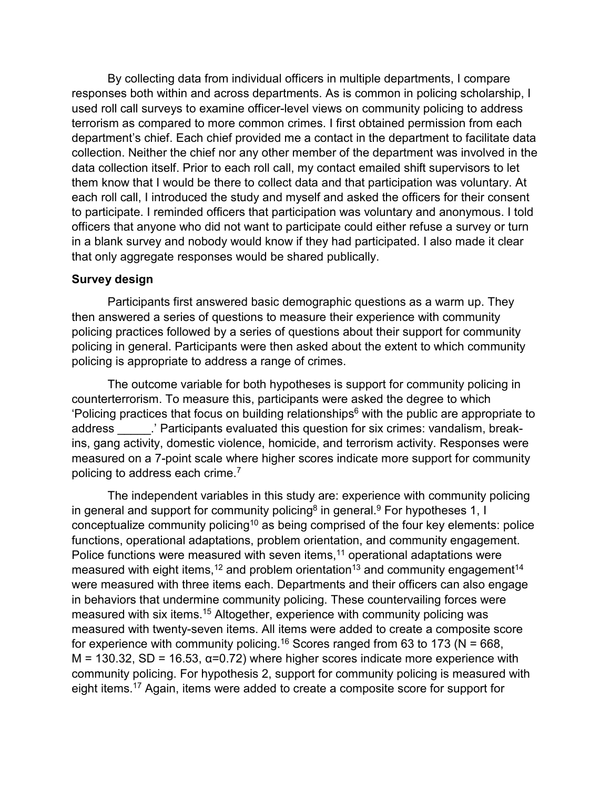By collecting data from individual officers in multiple departments, I compare responses both within and across departments. As is common in policing scholarship, I used roll call surveys to examine officer-level views on community policing to address terrorism as compared to more common crimes. I first obtained permission from each department's chief. Each chief provided me a contact in the department to facilitate data collection. Neither the chief nor any other member of the department was involved in the data collection itself. Prior to each roll call, my contact emailed shift supervisors to let them know that I would be there to collect data and that participation was voluntary. At each roll call, I introduced the study and myself and asked the officers for their consent to participate. I reminded officers that participation was voluntary and anonymous. I told officers that anyone who did not want to participate could either refuse a survey or turn in a blank survey and nobody would know if they had participated. I also made it clear that only aggregate responses would be shared publically.

#### **Survey design**

Participants first answered basic demographic questions as a warm up. They then answered a series of questions to measure their experience with community policing practices followed by a series of questions about their support for community policing in general. Participants were then asked about the extent to which community policing is appropriate to address a range of crimes.

The outcome variable for both hypotheses is support for community policing in counterterrorism. To measure this, participants were asked the degree to which 'Policing practices that focus on building relationships $6$  with the public are appropriate to address **Exercice** : ' Participants evaluated this question for six crimes: vandalism, breakins, gang activity, domestic violence, homicide, and terrorism activity. Responses were measured on a 7-point scale where higher scores indicate more support for community policing to address each crime.7

The independent variables in this study are: experience with community policing in general and support for community policing<sup>8</sup> in general.<sup>9</sup> For hypotheses 1, I conceptualize community policing<sup>10</sup> as being comprised of the four key elements: police functions, operational adaptations, problem orientation, and community engagement. Police functions were measured with seven items, $11$  operational adaptations were measured with eight items,<sup>12</sup> and problem orientation<sup>13</sup> and community engagement<sup>14</sup> were measured with three items each. Departments and their officers can also engage in behaviors that undermine community policing. These countervailing forces were measured with six items.15 Altogether, experience with community policing was measured with twenty-seven items. All items were added to create a composite score for experience with community policing.<sup>16</sup> Scores ranged from 63 to 173 ( $N = 668$ ,  $M = 130.32$ , SD = 16.53,  $\alpha = 0.72$ ) where higher scores indicate more experience with community policing. For hypothesis 2, support for community policing is measured with eight items.<sup>17</sup> Again, items were added to create a composite score for support for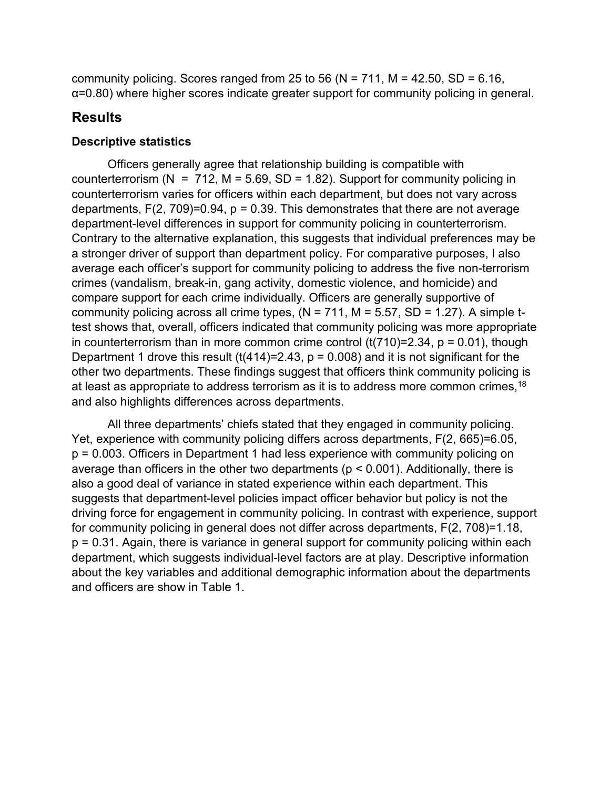community policing. Scores ranged from 25 to 56 ( $N = 711$ ,  $M = 42.50$ , SD = 6.16, α=0.80) where higher scores indicate greater support for community policing in general.

## **Results**

#### **Descriptive statistics**

Officers generally agree that relationship building is compatible with counterterrorism ( $N = 712$ ,  $M = 5.69$ ,  $SD = 1.82$ ). Support for community policing in counterterrorism varies for officers within each department, but does not vary across departments,  $F(2, 709)=0.94$ ,  $p = 0.39$ . This demonstrates that there are not average department-level differences in support for community policing in counterterrorism. Contrary to the alternative explanation, this suggests that individual preferences may be a stronger driver of support than department policy. For comparative purposes, I also average each officer's support for community policing to address the five non-terrorism crimes (vandalism, break-in, gang activity, domestic violence, and homicide) and compare support for each crime individually. Officers are generally supportive of community policing across all crime types,  $(N = 711, M = 5.57, SD = 1.27)$ . A simple ttest shows that, overall, officers indicated that community policing was more appropriate in counterterrorism than in more common crime control  $(t(710)=2.34, p = 0.01)$ , though Department 1 drove this result  $(t(414)=2.43, p = 0.008)$  and it is not significant for the other two departments. These findings suggest that officers think community policing is at least as appropriate to address terrorism as it is to address more common crimes,  $18$ and also highlights differences across departments.

All three departments' chiefs stated that they engaged in community policing. Yet, experience with community policing differs across departments, F(2, 665)=6.05, p = 0.003. Officers in Department 1 had less experience with community policing on average than officers in the other two departments (p < 0.001). Additionally, there is also a good deal of variance in stated experience within each department. This suggests that department-level policies impact officer behavior but policy is not the driving force for engagement in community policing. In contrast with experience, support for community policing in general does not differ across departments, F(2, 708)=1.18, p = 0.31. Again, there is variance in general support for community policing within each department, which suggests individual-level factors are at play. Descriptive information about the key variables and additional demographic information about the departments and officers are show in Table 1.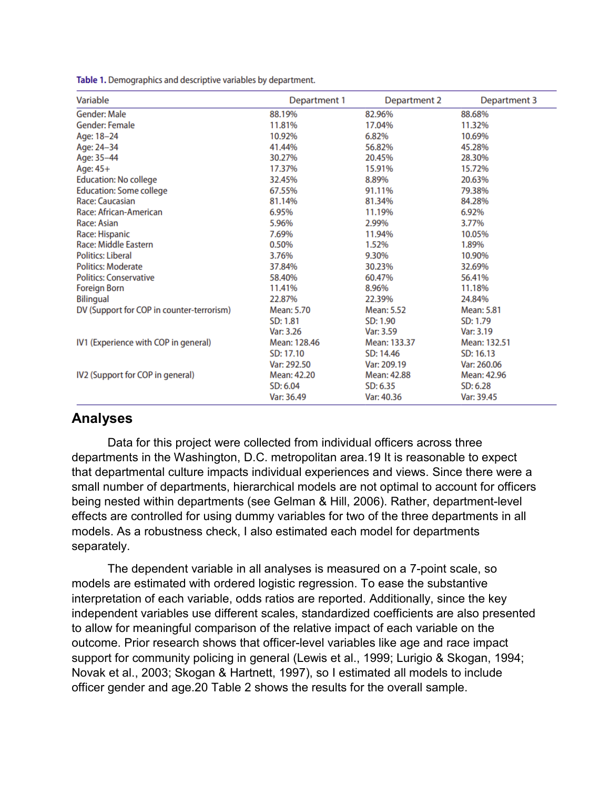| Variable                                  | Department 1 | Department 2 | Department 3 |  |
|-------------------------------------------|--------------|--------------|--------------|--|
| <b>Gender: Male</b>                       | 88.19%       | 82.96%       | 88.68%       |  |
| <b>Gender: Female</b>                     | 11.81%       | 17.04%       | 11.32%       |  |
| Age: 18-24                                | 10.92%       | 6.82%        | 10.69%       |  |
| Age: 24-34                                | 41.44%       | 56.82%       | 45.28%       |  |
| Age: 35-44                                | 30.27%       | 20.45%       | 28.30%       |  |
| Age: 45+                                  | 17.37%       | 15.91%       | 15.72%       |  |
| <b>Education: No college</b>              | 32.45%       | 8.89%        | 20.63%       |  |
| <b>Education: Some college</b>            | 67.55%       | 91.11%       | 79.38%       |  |
| Race: Caucasian                           | 81.14%       | 81.34%       | 84.28%       |  |
| Race: African-American                    | 6.95%        | 11.19%       | 6.92%        |  |
| Race: Asian                               | 5.96%        | 2.99%        | 3.77%        |  |
| Race: Hispanic                            | 7.69%        | 11.94%       | 10.05%       |  |
| Race: Middle Eastern                      | 0.50%        | 1.52%        | 1.89%        |  |
| <b>Politics: Liberal</b>                  | 3.76%        | 9.30%        | 10.90%       |  |
| <b>Politics: Moderate</b>                 | 37.84%       | 30.23%       | 32.69%       |  |
| <b>Politics: Conservative</b>             | 58.40%       | 60.47%       | 56.41%       |  |
| <b>Foreign Born</b>                       | 11.41%       | 8.96%        | 11.18%       |  |
| <b>Bilingual</b>                          | 22.87%       | 22.39%       | 24.84%       |  |
| DV (Support for COP in counter-terrorism) | Mean: 5.70   | Mean: 5.52   | Mean: 5.81   |  |
|                                           | SD: 1.81     | SD: 1.90     | SD: 1.79     |  |
|                                           | Var: 3.26    | Var: 3.59    | Var: 3.19    |  |
| IV1 (Experience with COP in general)      | Mean: 128.46 | Mean: 133.37 | Mean: 132.51 |  |
|                                           | SD: 17.10    | SD: 14.46    | SD: 16.13    |  |
|                                           | Var: 292.50  | Var: 209.19  | Var: 260.06  |  |
| IV2 (Support for COP in general)          | Mean: 42.20  | Mean: 42.88  | Mean: 42.96  |  |
|                                           | SD: 6.04     | SD: 6.35     | SD: 6.28     |  |
|                                           | Var: 36.49   | Var: 40.36   | Var: 39.45   |  |

Table 1. Demographics and descriptive variables by department.

## **Analyses**

Data for this project were collected from individual officers across three departments in the Washington, D.C. metropolitan area.19 It is reasonable to expect that departmental culture impacts individual experiences and views. Since there were a small number of departments, hierarchical models are not optimal to account for officers being nested within departments (see Gelman & Hill, 2006). Rather, department-level effects are controlled for using dummy variables for two of the three departments in all models. As a robustness check, I also estimated each model for departments separately.

The dependent variable in all analyses is measured on a 7-point scale, so models are estimated with ordered logistic regression. To ease the substantive interpretation of each variable, odds ratios are reported. Additionally, since the key independent variables use different scales, standardized coefficients are also presented to allow for meaningful comparison of the relative impact of each variable on the outcome. Prior research shows that officer-level variables like age and race impact support for community policing in general (Lewis et al., 1999; Lurigio & Skogan, 1994; Novak et al., 2003; Skogan & Hartnett, 1997), so I estimated all models to include officer gender and age.20 Table 2 shows the results for the overall sample.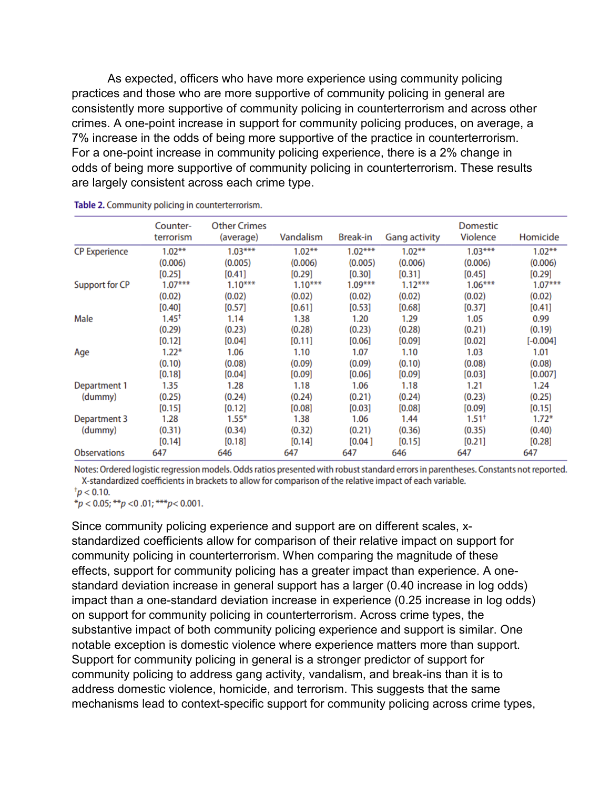As expected, officers who have more experience using community policing practices and those who are more supportive of community policing in general are consistently more supportive of community policing in counterterrorism and across other crimes. A one-point increase in support for community policing produces, on average, a 7% increase in the odds of being more supportive of the practice in counterterrorism. For a one-point increase in community policing experience, there is a 2% change in odds of being more supportive of community policing in counterterrorism. These results are largely consistent across each crime type.

|                       | Counter-<br>terrorism | <b>Other Crimes</b><br>(average) | Vandalism | <b>Break-in</b> | <b>Gang activity</b> | <b>Domestic</b><br><b>Violence</b> | Homicide   |
|-----------------------|-----------------------|----------------------------------|-----------|-----------------|----------------------|------------------------------------|------------|
| <b>CP Experience</b>  | $1.02***$             | $1.03***$                        | $1.02***$ | $1.02***$       | $1.02***$            | $1.03***$                          | $1.02***$  |
|                       | (0.006)               | (0.005)                          | (0.006)   | (0.005)         | (0.006)              | (0.006)                            | (0.006)    |
|                       | $[0.25]$              | [0.41]                           | [0.29]    | [0.30]          | [0.31]               | [0.45]                             | [0.29]     |
| <b>Support for CP</b> | $1.07***$             | $1.10***$                        | $1.10***$ | $1.09***$       | $1.12***$            | $1.06***$                          | $1.07***$  |
|                       | (0.02)                | (0.02)                           | (0.02)    | (0.02)          | (0.02)               | (0.02)                             | (0.02)     |
|                       | [0.40]                | [0.57]                           | [0.61]    | [0.53]          | [0.68]               | [0.37]                             | [0.41]     |
| Male                  | $1.45^+$              | 1.14                             | 1.38      | 1.20            | 1.29                 | 1.05                               | 0.99       |
|                       | (0.29)                | (0.23)                           | (0.28)    | (0.23)          | (0.28)               | (0.21)                             | (0.19)     |
|                       | [0.12]                | [0.04]                           | [0.11]    | [0.06]          | [0.09]               | [0.02]                             | $[-0.004]$ |
| Age                   | $1.22*$               | 1.06                             | 1.10      | 1.07            | 1.10                 | 1.03                               | 1.01       |
|                       | (0.10)                | (0.08)                           | (0.09)    | (0.09)          | (0.10)               | (0.08)                             | (0.08)     |
|                       | [0.18]                | [0.04]                           | [0.09]    | [0.06]          | [0.09]               | [0.03]                             | [0.007]    |
| Department 1          | 1.35                  | 1.28                             | 1.18      | 1.06            | 1.18                 | 1.21                               | 1.24       |
| (dummy)               | (0.25)                | (0.24)                           | (0.24)    | (0.21)          | (0.24)               | (0.23)                             | (0.25)     |
|                       | [0.15]                | [0.12]                           | [0.08]    | [0.03]          | [0.08]               | [0.09]                             | [0.15]     |
| Department 3          | 1.28                  | $1.55*$                          | 1.38      | 1.06            | 1.44                 | 1.51 <sup>†</sup>                  | $1.72*$    |
| (dummy)               | (0.31)                | (0.34)                           | (0.32)    | (0.21)          | (0.36)               | (0.35)                             | (0.40)     |
|                       | [0.14]                | [0.18]                           | [0.14]    | [0.04]          | [0.15]               | [0.21]                             | [0.28]     |
| <b>Observations</b>   | 647                   | 646                              | 647       | 647             | 646                  | 647                                | 647        |

Table 2. Community policing in counterterrorism.

Notes: Ordered logistic regression models. Odds ratios presented with robust standard errors in parentheses. Constants not reported. X-standardized coefficients in brackets to allow for comparison of the relative impact of each variable.

$$
^{\dagger}p<0.10.
$$

\* $p$  < 0.05; \*\* $p$  < 0.01; \*\*\* $p$  < 0.001.

Since community policing experience and support are on different scales, xstandardized coefficients allow for comparison of their relative impact on support for community policing in counterterrorism. When comparing the magnitude of these effects, support for community policing has a greater impact than experience. A onestandard deviation increase in general support has a larger (0.40 increase in log odds) impact than a one-standard deviation increase in experience (0.25 increase in log odds) on support for community policing in counterterrorism. Across crime types, the substantive impact of both community policing experience and support is similar. One notable exception is domestic violence where experience matters more than support. Support for community policing in general is a stronger predictor of support for community policing to address gang activity, vandalism, and break-ins than it is to address domestic violence, homicide, and terrorism. This suggests that the same mechanisms lead to context-specific support for community policing across crime types,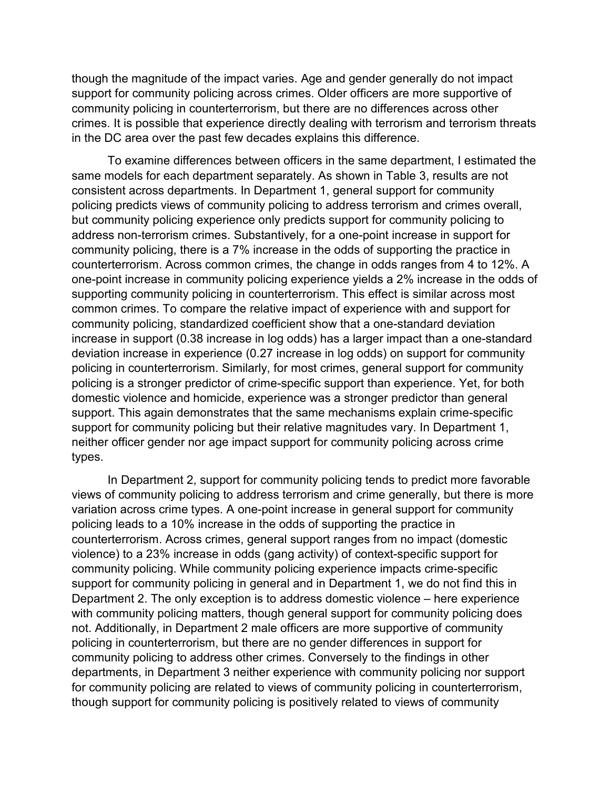though the magnitude of the impact varies. Age and gender generally do not impact support for community policing across crimes. Older officers are more supportive of community policing in counterterrorism, but there are no differences across other crimes. It is possible that experience directly dealing with terrorism and terrorism threats in the DC area over the past few decades explains this difference.

To examine differences between officers in the same department, I estimated the same models for each department separately. As shown in Table 3, results are not consistent across departments. In Department 1, general support for community policing predicts views of community policing to address terrorism and crimes overall, but community policing experience only predicts support for community policing to address non-terrorism crimes. Substantively, for a one-point increase in support for community policing, there is a 7% increase in the odds of supporting the practice in counterterrorism. Across common crimes, the change in odds ranges from 4 to 12%. A one-point increase in community policing experience yields a 2% increase in the odds of supporting community policing in counterterrorism. This effect is similar across most common crimes. To compare the relative impact of experience with and support for community policing, standardized coefficient show that a one-standard deviation increase in support (0.38 increase in log odds) has a larger impact than a one-standard deviation increase in experience (0.27 increase in log odds) on support for community policing in counterterrorism. Similarly, for most crimes, general support for community policing is a stronger predictor of crime-specific support than experience. Yet, for both domestic violence and homicide, experience was a stronger predictor than general support. This again demonstrates that the same mechanisms explain crime-specific support for community policing but their relative magnitudes vary. In Department 1, neither officer gender nor age impact support for community policing across crime types.

In Department 2, support for community policing tends to predict more favorable views of community policing to address terrorism and crime generally, but there is more variation across crime types. A one-point increase in general support for community policing leads to a 10% increase in the odds of supporting the practice in counterterrorism. Across crimes, general support ranges from no impact (domestic violence) to a 23% increase in odds (gang activity) of context-specific support for community policing. While community policing experience impacts crime-specific support for community policing in general and in Department 1, we do not find this in Department 2. The only exception is to address domestic violence – here experience with community policing matters, though general support for community policing does not. Additionally, in Department 2 male officers are more supportive of community policing in counterterrorism, but there are no gender differences in support for community policing to address other crimes. Conversely to the findings in other departments, in Department 3 neither experience with community policing nor support for community policing are related to views of community policing in counterterrorism, though support for community policing is positively related to views of community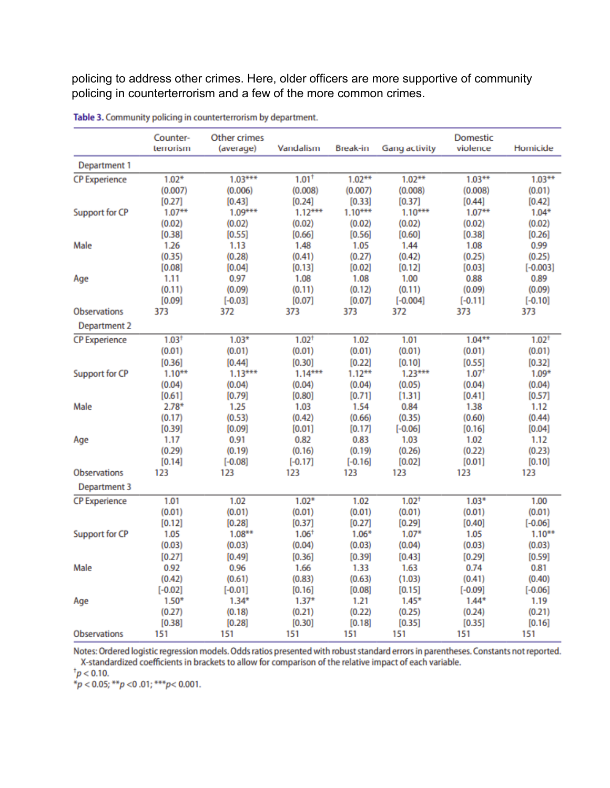policing to address other crimes. Here, older officers are more supportive of community policing in counterterrorism and a few of the more common crimes.

|                       | Counter-<br>terrorism | <b>Other crimes</b><br>(average) | Vandalism           | <b>Break-in</b>     | <b>Gang activity</b> | Domestic<br>violence | Homicide          |
|-----------------------|-----------------------|----------------------------------|---------------------|---------------------|----------------------|----------------------|-------------------|
| Department 1          |                       |                                  |                     |                     |                      |                      |                   |
| <b>CP Experience</b>  | $1.02*$               | $1.03***$                        | $1.01^+$            | $1.02***$           | $1.02***$            | $1.03***$            | $1.03***$         |
|                       | (0.007)               | (0.006)                          | (0.008)             | (0.007)             | (0.008)              | (0.008)              | (0.01)            |
|                       | [0.27]                | [0.43]                           | [0.24]              | [0.33]              | [0.37]               | [0.44]               | [0.42]            |
| <b>Support for CP</b> | $1.07***$             | $1.09***$                        | $1.12***$           | $1.10***$           | $1.10***$            | $1.07***$            | $1.04*$           |
|                       | (0.02)                | (0.02)                           | (0.02)              | (0.02)              | (0.02)               | (0.02)               | (0.02)            |
|                       | [0.38]                | [0.55]                           | [0.66]              | [0.56]              | [0.60]               | [0.38]               | [0.26]            |
| Male                  | 1.26                  | 1.13                             | 1.48                | 1.05                | 1.44                 | 1.08                 | 0.99              |
|                       | (0.35)                | (0.28)                           | (0.41)              | (0.27)              | (0.42)               | (0.25)               | (0.25)            |
|                       | [0.08]                | [0.04]                           | [0.13]              | [0.02]              | [0.12]               | [0.03]               | $[-0.003]$        |
| Age                   | 1.11                  | 0.97                             | 1.08                | 1.08                | 1.00                 | 0.88                 | 0.89              |
|                       | (0.11)                | (0.09)                           | (0.11)              | (0.12)              | (0.11)               | (0.09)               | (0.09)            |
|                       | [0.09]                | $[-0.03]$                        | [0.07]              | [0.07]              | $[-0.004]$           | $[-0.11]$            | $[-0.10]$         |
| <b>Observations</b>   | 373                   | 372                              | 373                 | 373                 | 372                  | 373                  | 373               |
| Department 2          |                       |                                  |                     |                     |                      |                      |                   |
| <b>CP Experience</b>  | 1.03 <sup>†</sup>     | $1.03*$                          | 1.02 <sup>†</sup>   | 1.02                | 1.01                 | $1.04***$            | 1.02 <sup>†</sup> |
|                       | (0.01)                | (0.01)                           | (0.01)              | (0.01)              | (0.01)               | (0.01)               | (0.01)            |
|                       | [0.36]                | [0.44]                           | [0.30]              | [0.22]              | [0.10]               | [0.55]               | [0.32]            |
| Support for CP        | $1.10***$             | $1.13***$                        | $1.14***$           | $1.12***$           | $1.23***$            | 1.07 <sup>†</sup>    | $1.09*$           |
|                       | (0.04)                | (0.04)                           | (0.04)              | (0.04)              | (0.05)               | (0.04)               | (0.04)            |
|                       | [0.61]                | [0.79]                           | [0.80]              | [0.71]              | [1.31]               | [0.41]               | [0.57]            |
| Male                  | $2.78*$               | 1.25                             | 1.03                | 1.54                | 0.84                 | 1.38                 | 1.12              |
|                       | (0.17)                | (0.53)                           | (0.42)              | (0.66)              | (0.35)               | (0.60)               | (0.44)            |
|                       | [0.39]                | [0.09]                           | [0.01]              | [0.17]              | $[-0.06]$            | [0.16]               | [0.04]            |
| Age                   | 1.17<br>(0.29)        | 0.91                             | 0.82                | 0.83                | 1.03<br>(0.26)       | 1.02<br>(0.22)       | 1.12<br>(0.23)    |
|                       | [0.14]                | (0.19)<br>$[-0.08]$              | (0.16)<br>$[-0.17]$ | (0.19)<br>$[-0.16]$ | [0.02]               | [0.01]               | [0.10]            |
| <b>Observations</b>   | 123                   | 123                              | 123                 | 123                 | 123                  | 123                  | 123               |
|                       |                       |                                  |                     |                     |                      |                      |                   |
| Department 3          |                       |                                  |                     |                     |                      |                      |                   |
| <b>CP Experience</b>  | 1.01                  | 1.02                             | $1.02*$             | 1.02                | 1.02 <sup>†</sup>    | $1.03*$              | 1.00              |
|                       | (0.01)                | (0.01)                           | (0.01)              | (0.01)              | (0.01)               | (0.01)               | (0.01)            |
|                       | [0.12]                | [0.28]                           | [0.37]              | [0.27]              | [0.29]               | [0.40]               | $[-0.06]$         |
| Support for CP        | 1.05                  | $1.08**$                         | 1.06 <sup>†</sup>   | $1.06*$             | $1.07*$              | 1.05                 | $1.10***$         |
|                       | (0.03)                | (0.03)                           | (0.04)              | (0.03)              | (0.04)               | (0.03)               | (0.03)            |
|                       | [0.27]                | [0.49]                           | [0.36]              | [0.39]              | [0.43]               | [0.29]               | [0.59]            |
| Male                  | 0.92                  | 0.96                             | 1.66                | 1.33                | 1.63                 | 0.74                 | 0.81              |
|                       | (0.42)                | (0.61)                           | (0.83)              | (0.63)              | (1.03)               | (0.41)               | (0.40)            |
|                       | $[-0.02]$             | $[-0.01]$                        | [0.16]              | [0.08]              | [0.15]               | $[-0.09]$            | $[-0.06]$         |
| Age                   | $1.50*$<br>(0.27)     | $1.34*$                          | $1.37*$             | 1.21<br>(0.22)      | $1.45*$<br>(0.25)    | $1.44*$              | 1.19              |
|                       | [0.38]                | (0.18)<br>[0.28]                 | (0.21)<br>[0.30]    | [0.18]              | [0.35]               | (0.24)<br>[0.35]     | (0.21)            |
| <b>Observations</b>   | 151                   | 151                              | 151                 | 151                 | 151                  | 151                  | [0.16]<br>151     |
|                       |                       |                                  |                     |                     |                      |                      |                   |

Table 3. Community policing in counterterrorism by department.

Notes: Ordered logistic regression models. Odds ratios presented with robust standard errors in parentheses. Constants not reported. X-standardized coefficients in brackets to allow for comparison of the relative impact of each variable.

 $\frac{1}{p}$  < 0.10.

 $*_p$  < 0.05; \*\* p < 0.01; \*\*\* p < 0.001.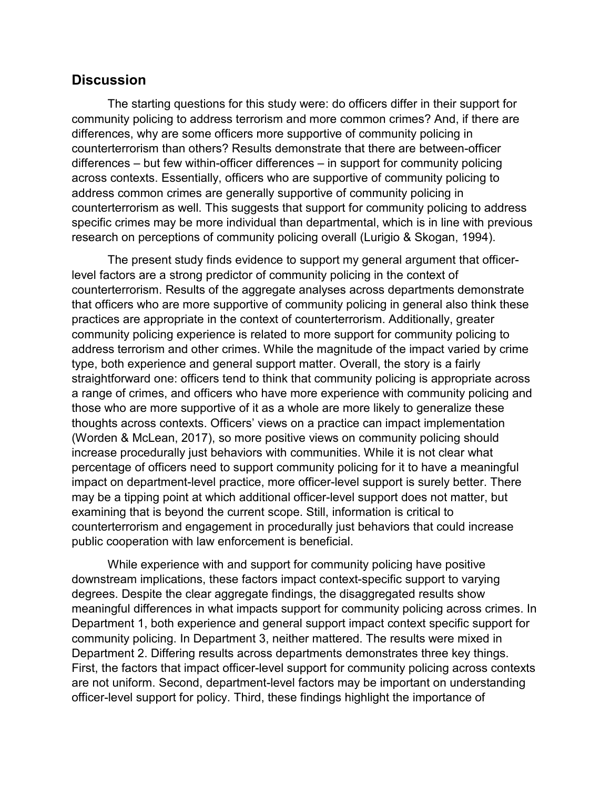### **Discussion**

The starting questions for this study were: do officers differ in their support for community policing to address terrorism and more common crimes? And, if there are differences, why are some officers more supportive of community policing in counterterrorism than others? Results demonstrate that there are between-officer differences – but few within-officer differences – in support for community policing across contexts. Essentially, officers who are supportive of community policing to address common crimes are generally supportive of community policing in counterterrorism as well. This suggests that support for community policing to address specific crimes may be more individual than departmental, which is in line with previous research on perceptions of community policing overall (Lurigio & Skogan, 1994).

The present study finds evidence to support my general argument that officerlevel factors are a strong predictor of community policing in the context of counterterrorism. Results of the aggregate analyses across departments demonstrate that officers who are more supportive of community policing in general also think these practices are appropriate in the context of counterterrorism. Additionally, greater community policing experience is related to more support for community policing to address terrorism and other crimes. While the magnitude of the impact varied by crime type, both experience and general support matter. Overall, the story is a fairly straightforward one: officers tend to think that community policing is appropriate across a range of crimes, and officers who have more experience with community policing and those who are more supportive of it as a whole are more likely to generalize these thoughts across contexts. Officers' views on a practice can impact implementation (Worden & McLean, 2017), so more positive views on community policing should increase procedurally just behaviors with communities. While it is not clear what percentage of officers need to support community policing for it to have a meaningful impact on department-level practice, more officer-level support is surely better. There may be a tipping point at which additional officer-level support does not matter, but examining that is beyond the current scope. Still, information is critical to counterterrorism and engagement in procedurally just behaviors that could increase public cooperation with law enforcement is beneficial.

While experience with and support for community policing have positive downstream implications, these factors impact context-specific support to varying degrees. Despite the clear aggregate findings, the disaggregated results show meaningful differences in what impacts support for community policing across crimes. In Department 1, both experience and general support impact context specific support for community policing. In Department 3, neither mattered. The results were mixed in Department 2. Differing results across departments demonstrates three key things. First, the factors that impact officer-level support for community policing across contexts are not uniform. Second, department-level factors may be important on understanding officer-level support for policy. Third, these findings highlight the importance of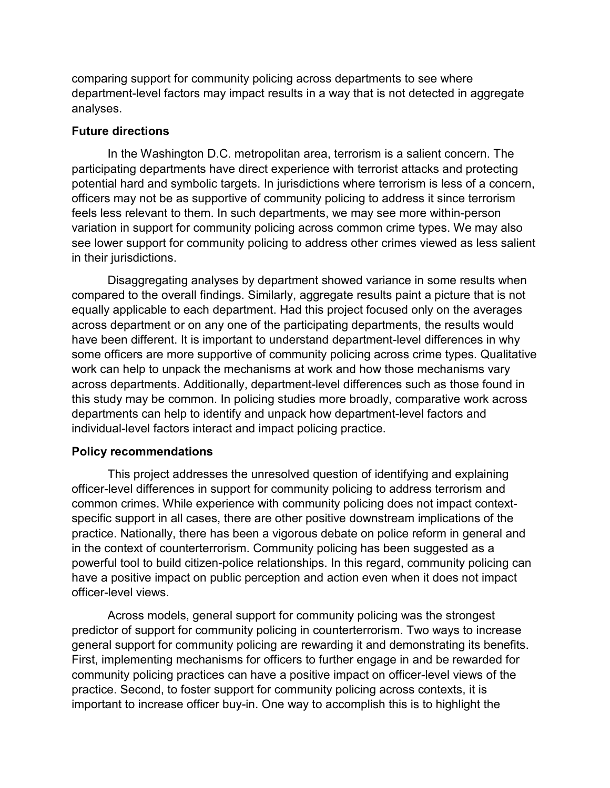comparing support for community policing across departments to see where department-level factors may impact results in a way that is not detected in aggregate analyses.

#### **Future directions**

In the Washington D.C. metropolitan area, terrorism is a salient concern. The participating departments have direct experience with terrorist attacks and protecting potential hard and symbolic targets. In jurisdictions where terrorism is less of a concern, officers may not be as supportive of community policing to address it since terrorism feels less relevant to them. In such departments, we may see more within-person variation in support for community policing across common crime types. We may also see lower support for community policing to address other crimes viewed as less salient in their jurisdictions.

Disaggregating analyses by department showed variance in some results when compared to the overall findings. Similarly, aggregate results paint a picture that is not equally applicable to each department. Had this project focused only on the averages across department or on any one of the participating departments, the results would have been different. It is important to understand department-level differences in why some officers are more supportive of community policing across crime types. Qualitative work can help to unpack the mechanisms at work and how those mechanisms vary across departments. Additionally, department-level differences such as those found in this study may be common. In policing studies more broadly, comparative work across departments can help to identify and unpack how department-level factors and individual-level factors interact and impact policing practice.

#### **Policy recommendations**

This project addresses the unresolved question of identifying and explaining officer-level differences in support for community policing to address terrorism and common crimes. While experience with community policing does not impact contextspecific support in all cases, there are other positive downstream implications of the practice. Nationally, there has been a vigorous debate on police reform in general and in the context of counterterrorism. Community policing has been suggested as a powerful tool to build citizen-police relationships. In this regard, community policing can have a positive impact on public perception and action even when it does not impact officer-level views.

Across models, general support for community policing was the strongest predictor of support for community policing in counterterrorism. Two ways to increase general support for community policing are rewarding it and demonstrating its benefits. First, implementing mechanisms for officers to further engage in and be rewarded for community policing practices can have a positive impact on officer-level views of the practice. Second, to foster support for community policing across contexts, it is important to increase officer buy-in. One way to accomplish this is to highlight the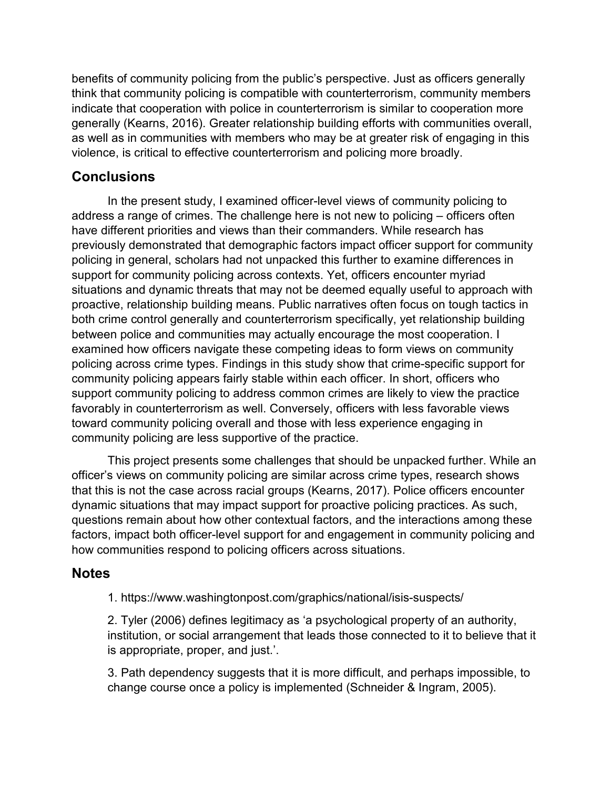benefits of community policing from the public's perspective. Just as officers generally think that community policing is compatible with counterterrorism, community members indicate that cooperation with police in counterterrorism is similar to cooperation more generally (Kearns, 2016). Greater relationship building efforts with communities overall, as well as in communities with members who may be at greater risk of engaging in this violence, is critical to effective counterterrorism and policing more broadly.

# **Conclusions**

In the present study, I examined officer-level views of community policing to address a range of crimes. The challenge here is not new to policing – officers often have different priorities and views than their commanders. While research has previously demonstrated that demographic factors impact officer support for community policing in general, scholars had not unpacked this further to examine differences in support for community policing across contexts. Yet, officers encounter myriad situations and dynamic threats that may not be deemed equally useful to approach with proactive, relationship building means. Public narratives often focus on tough tactics in both crime control generally and counterterrorism specifically, yet relationship building between police and communities may actually encourage the most cooperation. I examined how officers navigate these competing ideas to form views on community policing across crime types. Findings in this study show that crime-specific support for community policing appears fairly stable within each officer. In short, officers who support community policing to address common crimes are likely to view the practice favorably in counterterrorism as well. Conversely, officers with less favorable views toward community policing overall and those with less experience engaging in community policing are less supportive of the practice.

This project presents some challenges that should be unpacked further. While an officer's views on community policing are similar across crime types, research shows that this is not the case across racial groups (Kearns, 2017). Police officers encounter dynamic situations that may impact support for proactive policing practices. As such, questions remain about how other contextual factors, and the interactions among these factors, impact both officer-level support for and engagement in community policing and how communities respond to policing officers across situations.

# **Notes**

1. https://www.washingtonpost.com/graphics/national/isis-suspects/

2. Tyler (2006) defines legitimacy as 'a psychological property of an authority, institution, or social arrangement that leads those connected to it to believe that it is appropriate, proper, and just.'.

3. Path dependency suggests that it is more difficult, and perhaps impossible, to change course once a policy is implemented (Schneider & Ingram, 2005).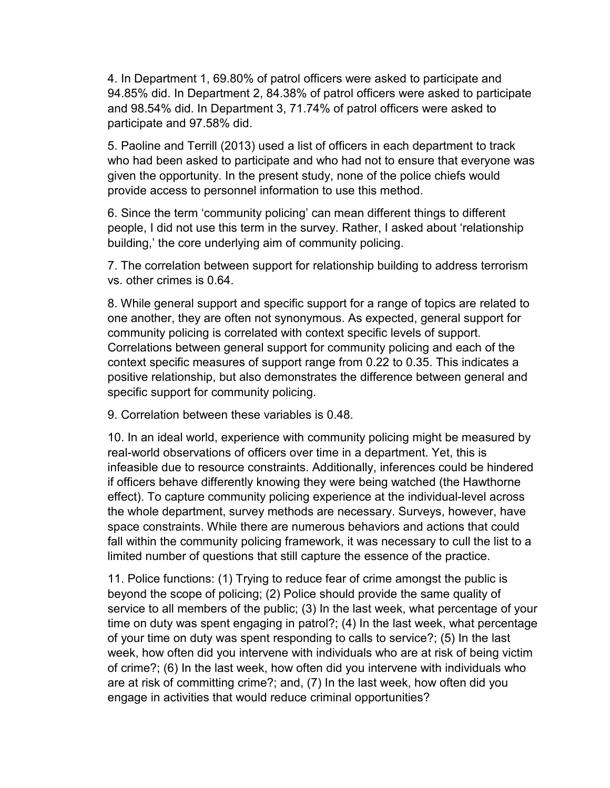4. In Department 1, 69.80% of patrol officers were asked to participate and 94.85% did. In Department 2, 84.38% of patrol officers were asked to participate and 98.54% did. In Department 3, 71.74% of patrol officers were asked to participate and 97.58% did.

5. Paoline and Terrill (2013) used a list of officers in each department to track who had been asked to participate and who had not to ensure that everyone was given the opportunity. In the present study, none of the police chiefs would provide access to personnel information to use this method.

6. Since the term 'community policing' can mean different things to different people, I did not use this term in the survey. Rather, I asked about 'relationship building,' the core underlying aim of community policing.

7. The correlation between support for relationship building to address terrorism vs. other crimes is 0.64.

8. While general support and specific support for a range of topics are related to one another, they are often not synonymous. As expected, general support for community policing is correlated with context specific levels of support. Correlations between general support for community policing and each of the context specific measures of support range from 0.22 to 0.35. This indicates a positive relationship, but also demonstrates the difference between general and specific support for community policing.

9. Correlation between these variables is 0.48.

10. In an ideal world, experience with community policing might be measured by real-world observations of officers over time in a department. Yet, this is infeasible due to resource constraints. Additionally, inferences could be hindered if officers behave differently knowing they were being watched (the Hawthorne effect). To capture community policing experience at the individual-level across the whole department, survey methods are necessary. Surveys, however, have space constraints. While there are numerous behaviors and actions that could fall within the community policing framework, it was necessary to cull the list to a limited number of questions that still capture the essence of the practice.

11. Police functions: (1) Trying to reduce fear of crime amongst the public is beyond the scope of policing; (2) Police should provide the same quality of service to all members of the public; (3) In the last week, what percentage of your time on duty was spent engaging in patrol?; (4) In the last week, what percentage of your time on duty was spent responding to calls to service?; (5) In the last week, how often did you intervene with individuals who are at risk of being victim of crime?; (6) In the last week, how often did you intervene with individuals who are at risk of committing crime?; and, (7) In the last week, how often did you engage in activities that would reduce criminal opportunities?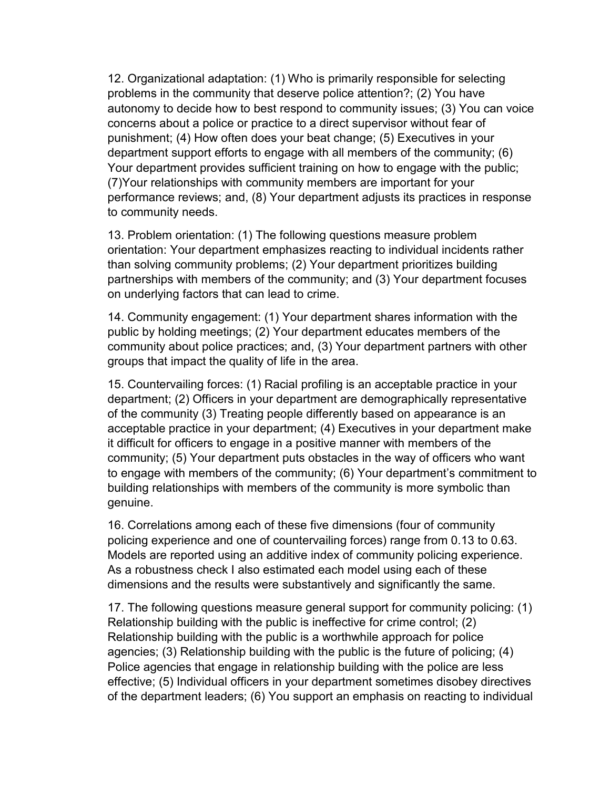12. Organizational adaptation: (1) Who is primarily responsible for selecting problems in the community that deserve police attention?; (2) You have autonomy to decide how to best respond to community issues; (3) You can voice concerns about a police or practice to a direct supervisor without fear of punishment; (4) How often does your beat change; (5) Executives in your department support efforts to engage with all members of the community; (6) Your department provides sufficient training on how to engage with the public; (7)Your relationships with community members are important for your performance reviews; and, (8) Your department adjusts its practices in response to community needs.

13. Problem orientation: (1) The following questions measure problem orientation: Your department emphasizes reacting to individual incidents rather than solving community problems; (2) Your department prioritizes building partnerships with members of the community; and (3) Your department focuses on underlying factors that can lead to crime.

14. Community engagement: (1) Your department shares information with the public by holding meetings; (2) Your department educates members of the community about police practices; and, (3) Your department partners with other groups that impact the quality of life in the area.

15. Countervailing forces: (1) Racial profiling is an acceptable practice in your department; (2) Officers in your department are demographically representative of the community (3) Treating people differently based on appearance is an acceptable practice in your department; (4) Executives in your department make it difficult for officers to engage in a positive manner with members of the community; (5) Your department puts obstacles in the way of officers who want to engage with members of the community; (6) Your department's commitment to building relationships with members of the community is more symbolic than genuine.

16. Correlations among each of these five dimensions (four of community policing experience and one of countervailing forces) range from 0.13 to 0.63. Models are reported using an additive index of community policing experience. As a robustness check I also estimated each model using each of these dimensions and the results were substantively and significantly the same.

17. The following questions measure general support for community policing: (1) Relationship building with the public is ineffective for crime control; (2) Relationship building with the public is a worthwhile approach for police agencies; (3) Relationship building with the public is the future of policing; (4) Police agencies that engage in relationship building with the police are less effective; (5) Individual officers in your department sometimes disobey directives of the department leaders; (6) You support an emphasis on reacting to individual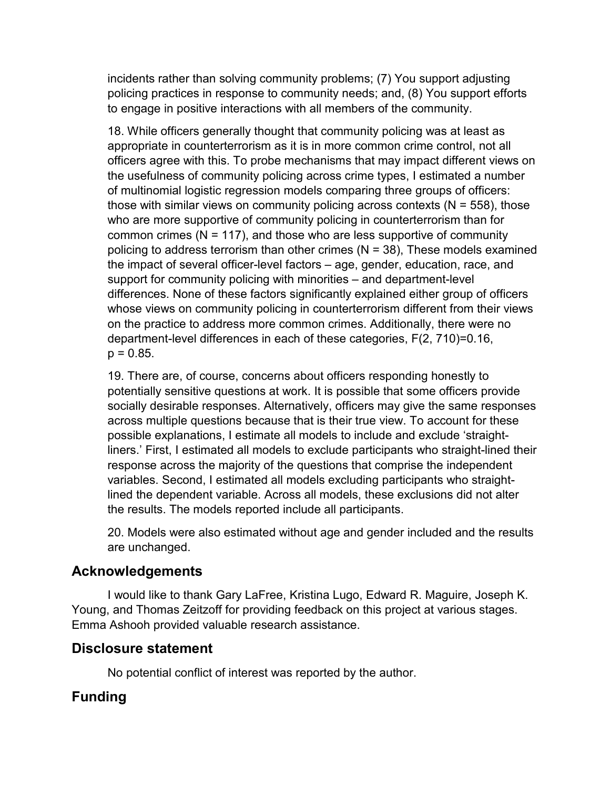incidents rather than solving community problems; (7) You support adjusting policing practices in response to community needs; and, (8) You support efforts to engage in positive interactions with all members of the community.

18. While officers generally thought that community policing was at least as appropriate in counterterrorism as it is in more common crime control, not all officers agree with this. To probe mechanisms that may impact different views on the usefulness of community policing across crime types, I estimated a number of multinomial logistic regression models comparing three groups of officers: those with similar views on community policing across contexts ( $N = 558$ ), those who are more supportive of community policing in counterterrorism than for common crimes ( $N = 117$ ), and those who are less supportive of community policing to address terrorism than other crimes  $(N = 38)$ , These models examined the impact of several officer-level factors – age, gender, education, race, and support for community policing with minorities – and department-level differences. None of these factors significantly explained either group of officers whose views on community policing in counterterrorism different from their views on the practice to address more common crimes. Additionally, there were no department-level differences in each of these categories, F(2, 710)=0.16,  $p = 0.85$ .

19. There are, of course, concerns about officers responding honestly to potentially sensitive questions at work. It is possible that some officers provide socially desirable responses. Alternatively, officers may give the same responses across multiple questions because that is their true view. To account for these possible explanations, I estimate all models to include and exclude 'straightliners.' First, I estimated all models to exclude participants who straight-lined their response across the majority of the questions that comprise the independent variables. Second, I estimated all models excluding participants who straightlined the dependent variable. Across all models, these exclusions did not alter the results. The models reported include all participants.

20. Models were also estimated without age and gender included and the results are unchanged.

# **Acknowledgements**

I would like to thank Gary LaFree, Kristina Lugo, Edward R. Maguire, Joseph K. Young, and Thomas Zeitzoff for providing feedback on this project at various stages. Emma Ashooh provided valuable research assistance.

# **Disclosure statement**

No potential conflict of interest was reported by the author.

# **Funding**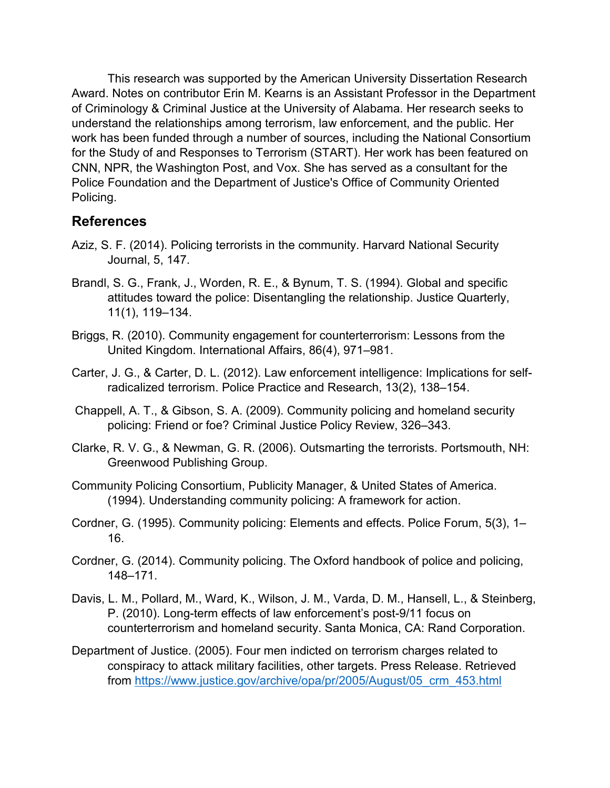This research was supported by the American University Dissertation Research Award. Notes on contributor Erin M. Kearns is an Assistant Professor in the Department of Criminology & Criminal Justice at the University of Alabama. Her research seeks to understand the relationships among terrorism, law enforcement, and the public. Her work has been funded through a number of sources, including the National Consortium for the Study of and Responses to Terrorism (START). Her work has been featured on CNN, NPR, the Washington Post, and Vox. She has served as a consultant for the Police Foundation and the Department of Justice's Office of Community Oriented Policing.

# **References**

- Aziz, S. F. (2014). Policing terrorists in the community. Harvard National Security Journal, 5, 147.
- Brandl, S. G., Frank, J., Worden, R. E., & Bynum, T. S. (1994). Global and specific attitudes toward the police: Disentangling the relationship. Justice Quarterly, 11(1), 119–134.
- Briggs, R. (2010). Community engagement for counterterrorism: Lessons from the United Kingdom. International Affairs, 86(4), 971–981.
- Carter, J. G., & Carter, D. L. (2012). Law enforcement intelligence: Implications for selfradicalized terrorism. Police Practice and Research, 13(2), 138–154.
- Chappell, A. T., & Gibson, S. A. (2009). Community policing and homeland security policing: Friend or foe? Criminal Justice Policy Review, 326–343.
- Clarke, R. V. G., & Newman, G. R. (2006). Outsmarting the terrorists. Portsmouth, NH: Greenwood Publishing Group.
- Community Policing Consortium, Publicity Manager, & United States of America. (1994). Understanding community policing: A framework for action.
- Cordner, G. (1995). Community policing: Elements and effects. Police Forum, 5(3), 1– 16.
- Cordner, G. (2014). Community policing. The Oxford handbook of police and policing, 148–171.
- Davis, L. M., Pollard, M., Ward, K., Wilson, J. M., Varda, D. M., Hansell, L., & Steinberg, P. (2010). Long-term effects of law enforcement's post-9/11 focus on counterterrorism and homeland security. Santa Monica, CA: Rand Corporation.
- Department of Justice. (2005). Four men indicted on terrorism charges related to conspiracy to attack military facilities, other targets. Press Release. Retrieved from [https://www.justice.gov/archive/opa/pr/2005/August/05\\_crm\\_453.html](https://www.justice.gov/archive/opa/pr/2005/August/05_crm_453.html)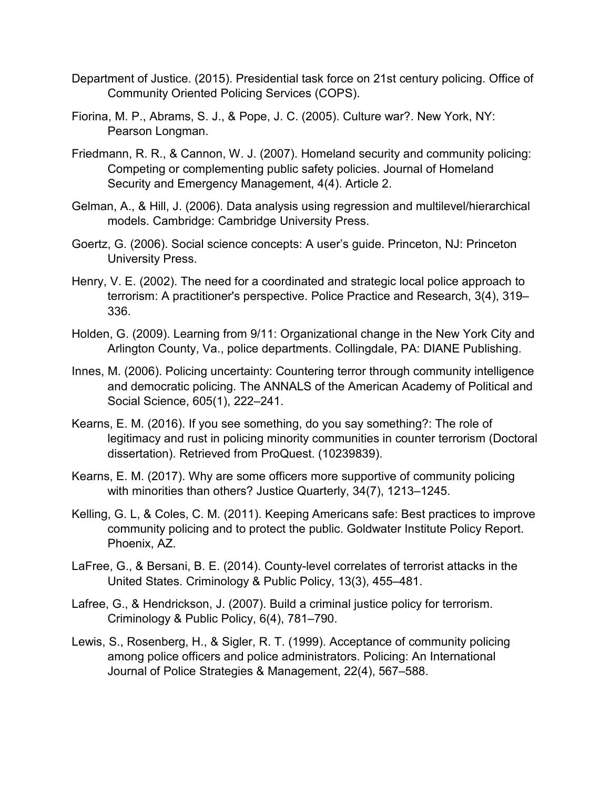- Department of Justice. (2015). Presidential task force on 21st century policing. Office of Community Oriented Policing Services (COPS).
- Fiorina, M. P., Abrams, S. J., & Pope, J. C. (2005). Culture war?. New York, NY: Pearson Longman.
- Friedmann, R. R., & Cannon, W. J. (2007). Homeland security and community policing: Competing or complementing public safety policies. Journal of Homeland Security and Emergency Management, 4(4). Article 2.
- Gelman, A., & Hill, J. (2006). Data analysis using regression and multilevel/hierarchical models. Cambridge: Cambridge University Press.
- Goertz, G. (2006). Social science concepts: A user's guide. Princeton, NJ: Princeton University Press.
- Henry, V. E. (2002). The need for a coordinated and strategic local police approach to terrorism: A practitioner's perspective. Police Practice and Research, 3(4), 319– 336.
- Holden, G. (2009). Learning from 9/11: Organizational change in the New York City and Arlington County, Va., police departments. Collingdale, PA: DIANE Publishing.
- Innes, M. (2006). Policing uncertainty: Countering terror through community intelligence and democratic policing. The ANNALS of the American Academy of Political and Social Science, 605(1), 222–241.
- Kearns, E. M. (2016). If you see something, do you say something?: The role of legitimacy and rust in policing minority communities in counter terrorism (Doctoral dissertation). Retrieved from ProQuest. (10239839).
- Kearns, E. M. (2017). Why are some officers more supportive of community policing with minorities than others? Justice Quarterly, 34(7), 1213–1245.
- Kelling, G. L, & Coles, C. M. (2011). Keeping Americans safe: Best practices to improve community policing and to protect the public. Goldwater Institute Policy Report. Phoenix, AZ.
- LaFree, G., & Bersani, B. E. (2014). County-level correlates of terrorist attacks in the United States. Criminology & Public Policy, 13(3), 455–481.
- Lafree, G., & Hendrickson, J. (2007). Build a criminal justice policy for terrorism. Criminology & Public Policy, 6(4), 781–790.
- Lewis, S., Rosenberg, H., & Sigler, R. T. (1999). Acceptance of community policing among police officers and police administrators. Policing: An International Journal of Police Strategies & Management, 22(4), 567–588.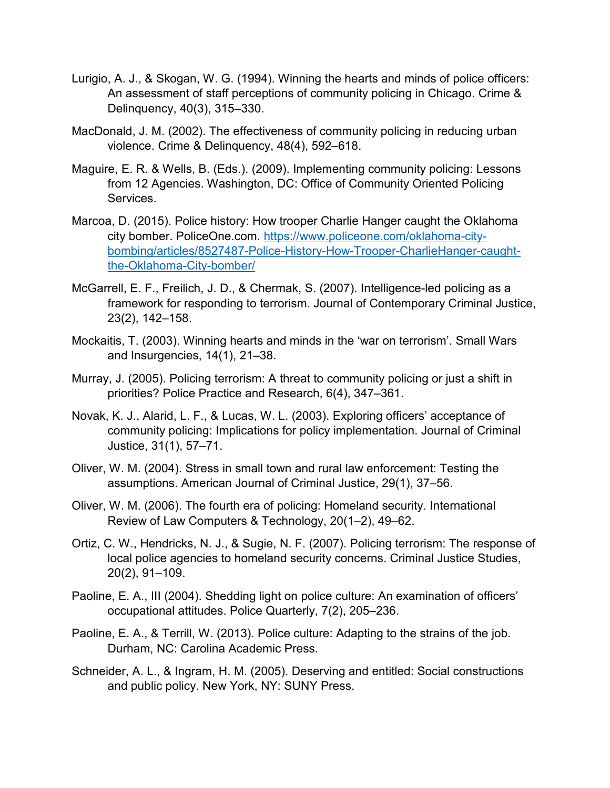- Lurigio, A. J., & Skogan, W. G. (1994). Winning the hearts and minds of police officers: An assessment of staff perceptions of community policing in Chicago. Crime & Delinquency, 40(3), 315–330.
- MacDonald, J. M. (2002). The effectiveness of community policing in reducing urban violence. Crime & Delinquency, 48(4), 592–618.
- Maguire, E. R. & Wells, B. (Eds.). (2009). Implementing community policing: Lessons from 12 Agencies. Washington, DC: Office of Community Oriented Policing Services.
- Marcoa, D. (2015). Police history: How trooper Charlie Hanger caught the Oklahoma city bomber. PoliceOne.com. [https://www.policeone.com/oklahoma-city](https://www.policeone.com/oklahoma-city-bombing/articles/8527487-Police-History-How-Trooper-CharlieHanger-caught-the-Oklahoma-City-bomber/)[bombing/articles/8527487-Police-History-How-Trooper-CharlieHanger-caught](https://www.policeone.com/oklahoma-city-bombing/articles/8527487-Police-History-How-Trooper-CharlieHanger-caught-the-Oklahoma-City-bomber/)[the-Oklahoma-City-bomber/](https://www.policeone.com/oklahoma-city-bombing/articles/8527487-Police-History-How-Trooper-CharlieHanger-caught-the-Oklahoma-City-bomber/)
- McGarrell, E. F., Freilich, J. D., & Chermak, S. (2007). Intelligence-led policing as a framework for responding to terrorism. Journal of Contemporary Criminal Justice, 23(2), 142–158.
- Mockaitis, T. (2003). Winning hearts and minds in the 'war on terrorism'. Small Wars and Insurgencies, 14(1), 21–38.
- Murray, J. (2005). Policing terrorism: A threat to community policing or just a shift in priorities? Police Practice and Research, 6(4), 347–361.
- Novak, K. J., Alarid, L. F., & Lucas, W. L. (2003). Exploring officers' acceptance of community policing: Implications for policy implementation. Journal of Criminal Justice, 31(1), 57–71.
- Oliver, W. M. (2004). Stress in small town and rural law enforcement: Testing the assumptions. American Journal of Criminal Justice, 29(1), 37–56.
- Oliver, W. M. (2006). The fourth era of policing: Homeland security. International Review of Law Computers & Technology, 20(1–2), 49–62.
- Ortiz, C. W., Hendricks, N. J., & Sugie, N. F. (2007). Policing terrorism: The response of local police agencies to homeland security concerns. Criminal Justice Studies, 20(2), 91–109.
- Paoline, E. A., III (2004). Shedding light on police culture: An examination of officers' occupational attitudes. Police Quarterly, 7(2), 205–236.
- Paoline, E. A., & Terrill, W. (2013). Police culture: Adapting to the strains of the job. Durham, NC: Carolina Academic Press.
- Schneider, A. L., & Ingram, H. M. (2005). Deserving and entitled: Social constructions and public policy. New York, NY: SUNY Press.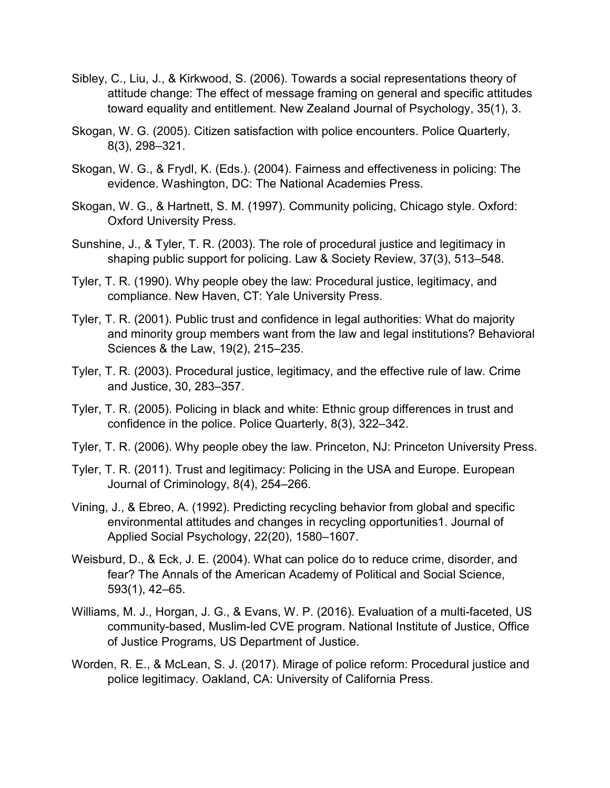- Sibley, C., Liu, J., & Kirkwood, S. (2006). Towards a social representations theory of attitude change: The effect of message framing on general and specific attitudes toward equality and entitlement. New Zealand Journal of Psychology, 35(1), 3.
- Skogan, W. G. (2005). Citizen satisfaction with police encounters. Police Quarterly, 8(3), 298–321.
- Skogan, W. G., & Frydl, K. (Eds.). (2004). Fairness and effectiveness in policing: The evidence. Washington, DC: The National Academies Press.
- Skogan, W. G., & Hartnett, S. M. (1997). Community policing, Chicago style. Oxford: Oxford University Press.
- Sunshine, J., & Tyler, T. R. (2003). The role of procedural justice and legitimacy in shaping public support for policing. Law & Society Review, 37(3), 513–548.
- Tyler, T. R. (1990). Why people obey the law: Procedural justice, legitimacy, and compliance. New Haven, CT: Yale University Press.
- Tyler, T. R. (2001). Public trust and confidence in legal authorities: What do majority and minority group members want from the law and legal institutions? Behavioral Sciences & the Law, 19(2), 215–235.
- Tyler, T. R. (2003). Procedural justice, legitimacy, and the effective rule of law. Crime and Justice, 30, 283–357.
- Tyler, T. R. (2005). Policing in black and white: Ethnic group differences in trust and confidence in the police. Police Quarterly, 8(3), 322–342.
- Tyler, T. R. (2006). Why people obey the law. Princeton, NJ: Princeton University Press.
- Tyler, T. R. (2011). Trust and legitimacy: Policing in the USA and Europe. European Journal of Criminology, 8(4), 254–266.
- Vining, J., & Ebreo, A. (1992). Predicting recycling behavior from global and specific environmental attitudes and changes in recycling opportunities1. Journal of Applied Social Psychology, 22(20), 1580–1607.
- Weisburd, D., & Eck, J. E. (2004). What can police do to reduce crime, disorder, and fear? The Annals of the American Academy of Political and Social Science, 593(1), 42–65.
- Williams, M. J., Horgan, J. G., & Evans, W. P. (2016). Evaluation of a multi-faceted, US community-based, Muslim-led CVE program. National Institute of Justice, Office of Justice Programs, US Department of Justice.
- Worden, R. E., & McLean, S. J. (2017). Mirage of police reform: Procedural justice and police legitimacy. Oakland, CA: University of California Press.